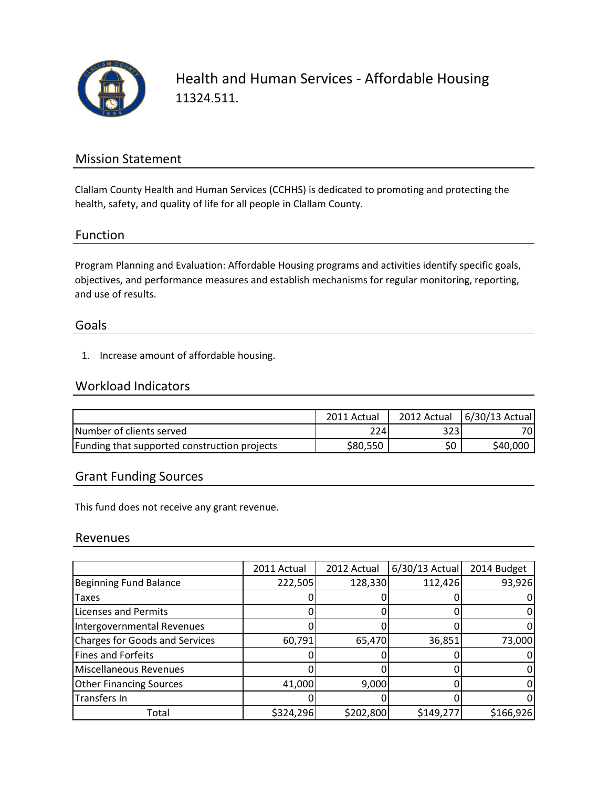

Health and Human Services - Affordable Housing 11324.511.

## Mission Statement

Clallam County Health and Human Services (CCHHS) is dedicated to promoting and protecting the health, safety, and quality of life for all people in Clallam County.

## Function

Program Planning and Evaluation: Affordable Housing programs and activities identify specific goals, objectives, and performance measures and establish mechanisms for regular monitoring, reporting, and use of results.

#### Goals

1. Increase amount of affordable housing.

## Workload Indicators

|                                              | 2011 Actual | 2012 Actual | $6/30/13$ Actual |
|----------------------------------------------|-------------|-------------|------------------|
| Number of clients served                     | 224         | 323I        | 70I              |
| Funding that supported construction projects | \$80,550    | \$0         | \$40,000         |

## Grant Funding Sources

This fund does not receive any grant revenue.

#### Revenues

|                                       | 2011 Actual | 2012 Actual | $6/30/13$ Actual | 2014 Budget |
|---------------------------------------|-------------|-------------|------------------|-------------|
| Beginning Fund Balance                | 222,505     | 128,330     | 112,426          | 93,926      |
| Taxes                                 |             |             |                  |             |
| <b>Licenses and Permits</b>           |             |             |                  |             |
| Intergovernmental Revenues            |             |             |                  |             |
| <b>Charges for Goods and Services</b> | 60,791      | 65,470      | 36,851           | 73,000      |
| Fines and Forfeits                    |             |             |                  |             |
| Miscellaneous Revenues                |             |             |                  |             |
| <b>Other Financing Sources</b>        | 41,000      | 9,000       |                  |             |
| Transfers In                          |             |             |                  |             |
| Total                                 | \$324,296   | \$202,800   | \$149,277        | \$166,926   |